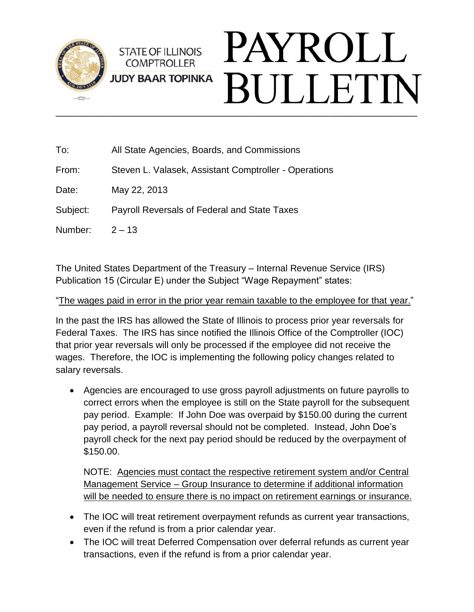

| To:      | All State Agencies, Boards, and Commissions           |
|----------|-------------------------------------------------------|
| From:    | Steven L. Valasek, Assistant Comptroller - Operations |
| Date:    | May 22, 2013                                          |
| Subject: | <b>Payroll Reversals of Federal and State Taxes</b>   |
| Number:  | $2 - 13$                                              |
|          |                                                       |

The United States Department of the Treasury – Internal Revenue Service (IRS) Publication 15 (Circular E) under the Subject "Wage Repayment" states:

#### "The wages paid in error in the prior year remain taxable to the employee for that year."

In the past the IRS has allowed the State of Illinois to process prior year reversals for Federal Taxes. The IRS has since notified the Illinois Office of the Comptroller (IOC) that prior year reversals will only be processed if the employee did not receive the wages. Therefore, the IOC is implementing the following policy changes related to salary reversals.

 Agencies are encouraged to use gross payroll adjustments on future payrolls to correct errors when the employee is still on the State payroll for the subsequent pay period. Example: If John Doe was overpaid by \$150.00 during the current pay period, a payroll reversal should not be completed. Instead, John Doe's payroll check for the next pay period should be reduced by the overpayment of \$150.00.

NOTE: Agencies must contact the respective retirement system and/or Central Management Service – Group Insurance to determine if additional information will be needed to ensure there is no impact on retirement earnings or insurance.

- The IOC will treat retirement overpayment refunds as current year transactions, even if the refund is from a prior calendar year.
- The IOC will treat Deferred Compensation over deferral refunds as current year transactions, even if the refund is from a prior calendar year.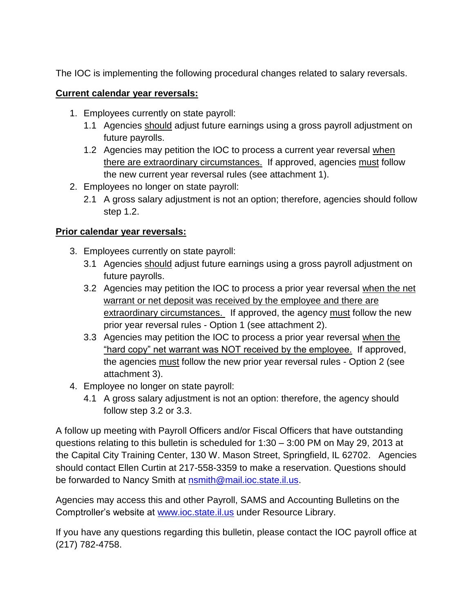The IOC is implementing the following procedural changes related to salary reversals.

### **Current calendar year reversals:**

- 1. Employees currently on state payroll:
	- 1.1 Agencies should adjust future earnings using a gross payroll adjustment on future payrolls.
	- 1.2 Agencies may petition the IOC to process a current year reversal when there are extraordinary circumstances.If approved, agencies must follow the new current year reversal rules (see attachment 1).
- 2. Employees no longer on state payroll:
	- 2.1 A gross salary adjustment is not an option; therefore, agencies should follow step 1.2.

# **Prior calendar year reversals:**

- 3. Employees currently on state payroll:
	- 3.1 Agencies should adjust future earnings using a gross payroll adjustment on future payrolls.
	- 3.2 Agencies may petition the IOC to process a prior year reversal when the net warrant or net deposit was received by the employee and there are extraordinary circumstances. If approved, the agency must follow the new prior year reversal rules - Option 1 (see attachment 2).
	- 3.3 Agencies may petition the IOC to process a prior year reversal when the "hard copy" net warrant was NOT received by the employee. If approved, the agencies must follow the new prior year reversal rules - Option 2 (see attachment 3).
- 4. Employee no longer on state payroll:
	- 4.1 A gross salary adjustment is not an option: therefore, the agency should follow step 3.2 or 3.3.

A follow up meeting with Payroll Officers and/or Fiscal Officers that have outstanding questions relating to this bulletin is scheduled for 1:30 – 3:00 PM on May 29, 2013 at the Capital City Training Center, 130 W. Mason Street, Springfield, IL 62702. Agencies should contact Ellen Curtin at 217-558-3359 to make a reservation. Questions should be forwarded to Nancy Smith at [nsmith@mail.ioc.state.il.us.](mailto:nsmith@mail.ioc.state.il.us)

Agencies may access this and other Payroll, SAMS and Accounting Bulletins on the Comptroller's website at [www.ioc.state.il.us](http://www.ioc.state.il.us/) under Resource Library.

If you have any questions regarding this bulletin, please contact the IOC payroll office at (217) 782-4758.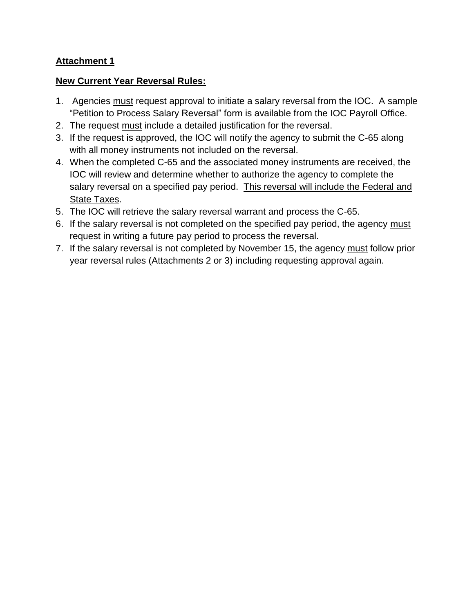### **Attachment 1**

### **New Current Year Reversal Rules:**

- 1. Agencies must request approval to initiate a salary reversal from the IOC. A sample "Petition to Process Salary Reversal" form is available from the IOC Payroll Office.
- 2. The request must include a detailed justification for the reversal.
- 3. If the request is approved, the IOC will notify the agency to submit the C-65 along with all money instruments not included on the reversal.
- 4. When the completed C-65 and the associated money instruments are received, the IOC will review and determine whether to authorize the agency to complete the salary reversal on a specified pay period. This reversal will include the Federal and State Taxes.
- 5. The IOC will retrieve the salary reversal warrant and process the C-65.
- 6. If the salary reversal is not completed on the specified pay period, the agency must request in writing a future pay period to process the reversal.
- 7. If the salary reversal is not completed by November 15, the agency must follow prior year reversal rules (Attachments 2 or 3) including requesting approval again.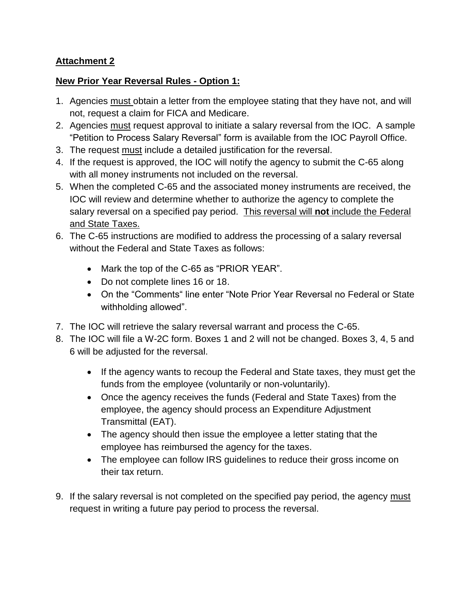## **Attachment 2**

### **New Prior Year Reversal Rules - Option 1:**

- 1. Agencies must obtain a letter from the employee stating that they have not, and will not, request a claim for FICA and Medicare.
- 2. Agencies must request approval to initiate a salary reversal from the IOC. A sample "Petition to Process Salary Reversal" form is available from the IOC Payroll Office.
- 3. The request must include a detailed justification for the reversal.
- 4. If the request is approved, the IOC will notify the agency to submit the C-65 along with all money instruments not included on the reversal.
- 5. When the completed C-65 and the associated money instruments are received, the IOC will review and determine whether to authorize the agency to complete the salary reversal on a specified pay period. This reversal will **not** include the Federal and State Taxes.
- 6. The C-65 instructions are modified to address the processing of a salary reversal without the Federal and State Taxes as follows:
	- Mark the top of the C-65 as "PRIOR YEAR".
	- Do not complete lines 16 or 18.
	- On the "Comments" line enter "Note Prior Year Reversal no Federal or State withholding allowed".
- 7. The IOC will retrieve the salary reversal warrant and process the C-65.
- 8. The IOC will file a W-2C form. Boxes 1 and 2 will not be changed. Boxes 3, 4, 5 and 6 will be adjusted for the reversal.
	- If the agency wants to recoup the Federal and State taxes, they must get the funds from the employee (voluntarily or non-voluntarily).
	- Once the agency receives the funds (Federal and State Taxes) from the employee, the agency should process an Expenditure Adjustment Transmittal (EAT).
	- The agency should then issue the employee a letter stating that the employee has reimbursed the agency for the taxes.
	- The employee can follow IRS guidelines to reduce their gross income on their tax return.
- 9. If the salary reversal is not completed on the specified pay period, the agency must request in writing a future pay period to process the reversal.